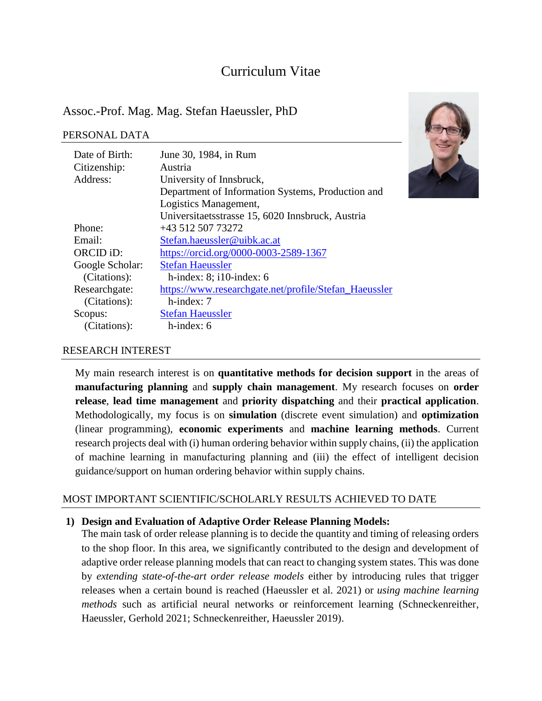# Curriculum Vitae

## Assoc.-Prof. Mag. Mag. Stefan Haeussler, PhD

#### PERSONAL DATA

| Date of Birth:  | June 30, 1984, in Rum                                 |
|-----------------|-------------------------------------------------------|
| Citizenship:    | Austria                                               |
| Address:        | University of Innsbruck,                              |
|                 | Department of Information Systems, Production and     |
|                 | Logistics Management,                                 |
|                 | Universitaetsstrasse 15, 6020 Innsbruck, Austria      |
| Phone:          | +43 512 507 73272                                     |
| Email:          | Stefan.haeussler@uibk.ac.at                           |
| ORCID iD:       | https://orcid.org/0000-0003-2589-1367                 |
| Google Scholar: | <b>Stefan Haeussler</b>                               |
| (Citations):    | h-index: $8$ ; i10-index: 6                           |
| Researchgate:   | https://www.researchgate.net/profile/Stefan_Haeussler |
| (Citations):    | $h$ -index: $7$                                       |
| Scopus:         | <b>Stefan Haeussler</b>                               |
| (Citations):    | $h$ -index: 6                                         |
|                 |                                                       |



#### RESEARCH INTEREST

My main research interest is on **quantitative methods for decision support** in the areas of **manufacturing planning** and **supply chain management**. My research focuses on **order release**, **lead time management** and **priority dispatching** and their **practical application**. Methodologically, my focus is on **simulation** (discrete event simulation) and **optimization** (linear programming), **economic experiments** and **machine learning methods**. Current research projects deal with (i) human ordering behavior within supply chains, (ii) the application of machine learning in manufacturing planning and (iii) the effect of intelligent decision guidance/support on human ordering behavior within supply chains.

### MOST IMPORTANT SCIENTIFIC/SCHOLARLY RESULTS ACHIEVED TO DATE

#### **1) Design and Evaluation of Adaptive Order Release Planning Models:**

The main task of order release planning is to decide the quantity and timing of releasing orders to the shop floor. In this area, we significantly contributed to the design and development of adaptive order release planning models that can react to changing system states. This was done by *extending state-of-the-art order release models* either by introducing rules that trigger releases when a certain bound is reached (Haeussler et al. 2021) or *using machine learning methods* such as artificial neural networks or reinforcement learning (Schneckenreither, Haeussler, Gerhold 2021; Schneckenreither, Haeussler 2019).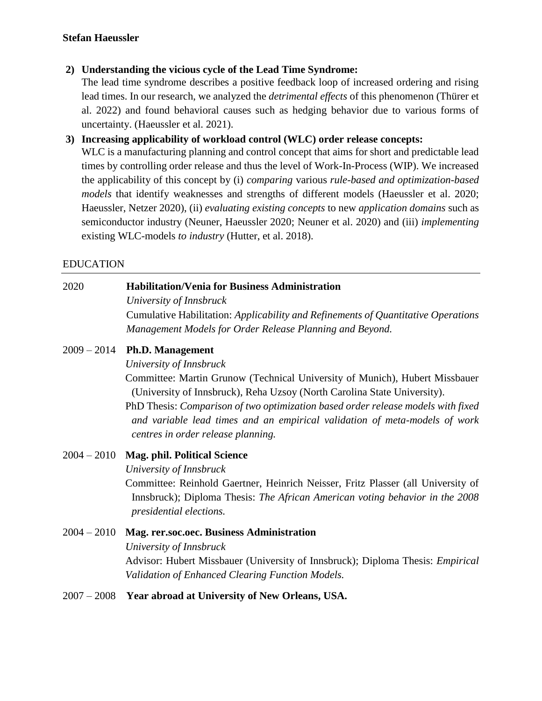### **2) Understanding the vicious cycle of the Lead Time Syndrome:**

The lead time syndrome describes a positive feedback loop of increased ordering and rising lead times. In our research, we analyzed the *detrimental effects* of this phenomenon (Thürer et al. 2022) and found behavioral causes such as hedging behavior due to various forms of uncertainty. (Haeussler et al. 2021).

### **3) Increasing applicability of workload control (WLC) order release concepts:**

WLC is a manufacturing planning and control concept that aims for short and predictable lead times by controlling order release and thus the level of Work-In-Process (WIP). We increased the applicability of this concept by (i) *comparing* various *rule-based and optimization-based models* that identify weaknesses and strengths of different models (Haeussler et al. 2020; Haeussler, Netzer 2020), (ii) *evaluating existing concepts* to new *application domains* such as semiconductor industry (Neuner, Haeussler 2020; Neuner et al. 2020) and (iii) *implementing* existing WLC-models *to industry* (Hutter, et al. 2018).

### EDUCATION

### 2020 **Habilitation/Venia for Business Administration**

*University of Innsbruck*

Cumulative Habilitation: *Applicability and Refinements of Quantitative Operations Management Models for Order Release Planning and Beyond.*

### 2009 – 2014 **Ph.D. Management**

*University of Innsbruck*

Committee: Martin Grunow (Technical University of Munich), Hubert Missbauer (University of Innsbruck), Reha Uzsoy (North Carolina State University).

PhD Thesis: *Comparison of two optimization based order release models with fixed and variable lead times and an empirical validation of meta-models of work centres in order release planning.*

### 2004 – 2010 **Mag. phil. Political Science**

*University of Innsbruck*

Committee: Reinhold Gaertner, Heinrich Neisser, Fritz Plasser (all University of Innsbruck); Diploma Thesis: *The African American voting behavior in the 2008 presidential elections.*

# 2004 – 2010 **Mag. rer.soc.oec. Business Administration** *University of Innsbruck* Advisor: Hubert Missbauer (University of Innsbruck); Diploma Thesis: *Empirical Validation of Enhanced Clearing Function Models.*

### 2007 – 2008 **Year abroad at University of New Orleans, USA.**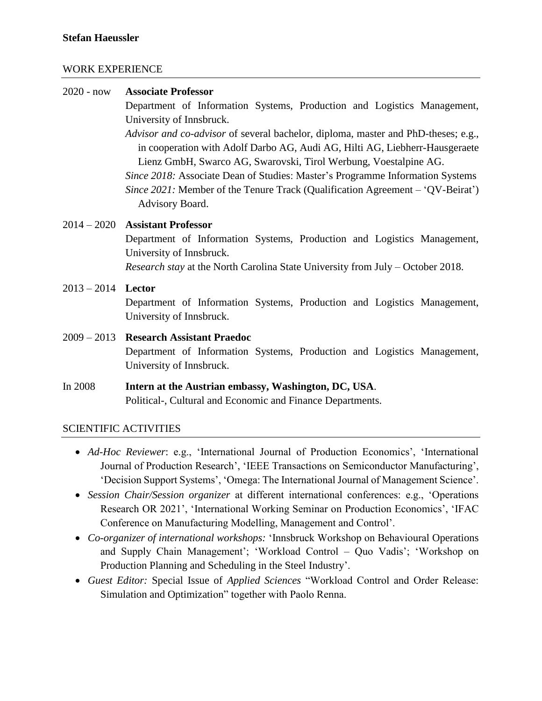#### WORK EXPERIENCE

| $2020 - now$         | <b>Associate Professor</b>                                                                                                                                                                                                                                                                                                                                                                                                 |  |
|----------------------|----------------------------------------------------------------------------------------------------------------------------------------------------------------------------------------------------------------------------------------------------------------------------------------------------------------------------------------------------------------------------------------------------------------------------|--|
|                      | Department of Information Systems, Production and Logistics Management,                                                                                                                                                                                                                                                                                                                                                    |  |
|                      | University of Innsbruck.                                                                                                                                                                                                                                                                                                                                                                                                   |  |
|                      | Advisor and co-advisor of several bachelor, diploma, master and PhD-theses; e.g.,<br>in cooperation with Adolf Darbo AG, Audi AG, Hilti AG, Liebherr-Hausgeraete<br>Lienz GmbH, Swarco AG, Swarovski, Tirol Werbung, Voestalpine AG.<br>Since 2018: Associate Dean of Studies: Master's Programme Information Systems<br>Since 2021: Member of the Tenure Track (Qualification Agreement – 'QV-Beirat')<br>Advisory Board. |  |
|                      | $2014 - 2020$ Assistant Professor                                                                                                                                                                                                                                                                                                                                                                                          |  |
|                      | Department of Information Systems, Production and Logistics Management,<br>University of Innsbruck.                                                                                                                                                                                                                                                                                                                        |  |
|                      | <i>Research stay</i> at the North Carolina State University from July – October 2018.                                                                                                                                                                                                                                                                                                                                      |  |
| $2013 - 2014$ Lector | Department of Information Systems, Production and Logistics Management,<br>University of Innsbruck.                                                                                                                                                                                                                                                                                                                        |  |
|                      | 2009 – 2013 Research Assistant Praedoc<br>Department of Information Cruisma, Duadration and Logistics Management                                                                                                                                                                                                                                                                                                           |  |

Department of Information Systems, Production and Logistics Management, University of Innsbruck.

In 2008 **Intern at the Austrian embassy, Washington, DC, USA**. Political-, Cultural and Economic and Finance Departments.

### SCIENTIFIC ACTIVITIES

- *Ad-Hoc Reviewer*: e.g., 'International Journal of Production Economics', 'International Journal of Production Research', 'IEEE Transactions on Semiconductor Manufacturing', 'Decision Support Systems', 'Omega: The International Journal of Management Science'.
- *Session Chair/Session organizer* at different international conferences: e.g., 'Operations Research OR 2021', 'International Working Seminar on Production Economics', 'IFAC Conference on Manufacturing Modelling, Management and Control'.
- *Co-organizer of international workshops:* 'Innsbruck Workshop on Behavioural Operations and Supply Chain Management'; 'Workload Control – Quo Vadis'; 'Workshop on Production Planning and Scheduling in the Steel Industry'.
- *Guest Editor:* Special Issue of *Applied Sciences* "Workload Control and Order Release: Simulation and Optimization" together with Paolo Renna.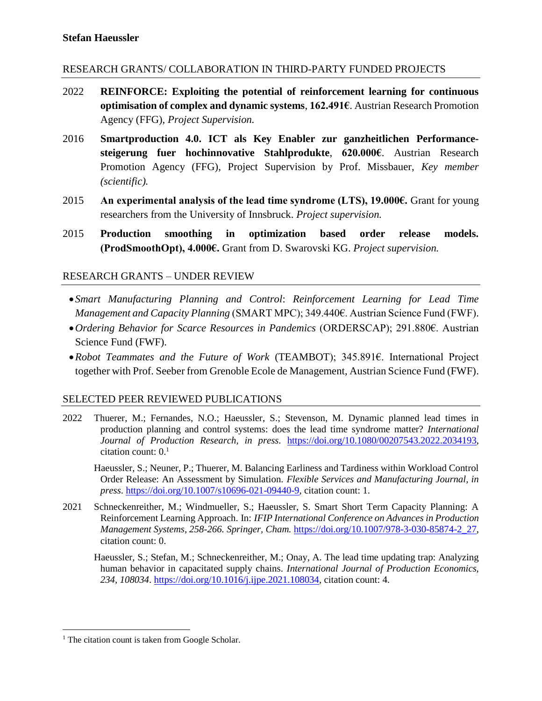### RESEARCH GRANTS/ COLLABORATION IN THIRD-PARTY FUNDED PROJECTS

- 2022 **REINFORCE: Exploiting the potential of reinforcement learning for continuous optimisation of complex and dynamic systems**, **162.491€**. Austrian Research Promotion Agency (FFG), *Project Supervision.*
- 2016 **Smartproduction 4.0. ICT als Key Enabler zur ganzheitlichen Performancesteigerung fuer hochinnovative Stahlprodukte**, **620.000€**. Austrian Research Promotion Agency (FFG), Project Supervision by Prof. Missbauer, *Key member (scientific).*
- 2015 **An experimental analysis of the lead time syndrome (LTS), 19.000€.** Grant for young researchers from the University of Innsbruck. *Project supervision.*
- 2015 **Production smoothing in optimization based order release models. (ProdSmoothOpt), 4.000€.** Grant from D. Swarovski KG. *Project supervision.*

### RESEARCH GRANTS – UNDER REVIEW

- *Smart Manufacturing Planning and Control*: *Reinforcement Learning for Lead Time Management and Capacity Planning* (SMART MPC); 349.440€. Austrian Science Fund (FWF).
- •*Ordering Behavior for Scarce Resources in Pandemics* (ORDERSCAP); 291.880€. Austrian Science Fund (FWF).
- •*Robot Teammates and the Future of Work* (TEAMBOT); 345.891€. International Project together with Prof. Seeber from Grenoble Ecole de Management, Austrian Science Fund (FWF).

#### SELECTED PEER REVIEWED PUBLICATIONS

- 2022 Thuerer, M.; Fernandes, N.O.; Haeussler, S.; Stevenson, M. Dynamic planned lead times in production planning and control systems: does the lead time syndrome matter? *International Journal of Production Research, in press.* [https://doi.org/10.1080/00207543.2022.2034193,](https://doi.org/10.1080/00207543.2022.2034193) citation count:  $0<sup>1</sup>$ 
	- Haeussler, S.; Neuner, P.; Thuerer, M. Balancing Earliness and Tardiness within Workload Control Order Release: An Assessment by Simulation. *Flexible Services and Manufacturing Journal, in press*. [https://doi.org/10.1007/s10696-021-09440-9,](https://doi.org/10.1007/s10696-021-09440-9) citation count: 1.
- 2021 Schneckenreither, M.; Windmueller, S.; Haeussler, S. Smart Short Term Capacity Planning: A Reinforcement Learning Approach. In: *IFIP International Conference on Advances in Production Management Systems, 258-266. Springer, Cham.* [https://doi.org/10.1007/978-3-030-85874-2\\_27,](https://doi.org/10.1007/978-3-030-85874-2_27) citation count: 0.
	- Haeussler, S.; Stefan, M.; Schneckenreither, M.; Onay, A. The lead time updating trap: Analyzing human behavior in capacitated supply chains. *International Journal of Production Economics, 234, 108034*. [https://doi.org/10.1016/j.ijpe.2021.108034,](https://doi.org/10.1016/j.ijpe.2021.108034) citation count: 4.

 $\overline{a}$ <sup>1</sup> The citation count is taken from Google Scholar.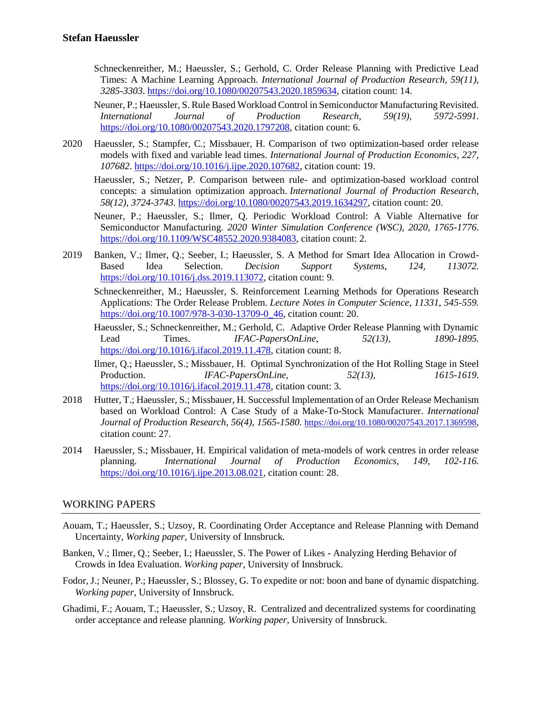- Schneckenreither, M.; Haeussler, S.; Gerhold, C. Order Release Planning with Predictive Lead Times: A Machine Learning Approach. *International Journal of Production Research, 59(11), 3285-3303*. [https://doi.org/10.1080/00207543.2020.1859634,](https://doi.org/10.1080/00207543.2020.1859634) citation count: 14.
- Neuner, P.; Haeussler, S. Rule Based Workload Control in Semiconductor Manufacturing Revisited. *International Journal of Production Research, 59(19), 5972-5991*. [https://doi.org/10.1080/00207543.2020.1797208,](https://doi.org/10.1080/00207543.2020.1797208) citation count: 6.
- 2020 Haeussler, S.; Stampfer, C.; Missbauer, H. Comparison of two optimization-based order release models with fixed and variable lead times. *International Journal of Production Economics, 227, 107682*. [https://doi.org/10.1016/j.ijpe.2020.107682,](https://doi.org/10.1016/j.ijpe.2020.107682) citation count: 19.

Haeussler, S.; Netzer, P. Comparison between rule- and optimization-based workload control concepts: a simulation optimization approach. *International Journal of Production Research, 58(12), 3724-3743.* [https://doi.org/10.1080/00207543.2019.1634297,](https://doi.org/10.1080/00207543.2019.1634297) citation count: 20.

- Neuner, P.; Haeussler, S.; Ilmer, Q. Periodic Workload Control: A Viable Alternative for Semiconductor Manufacturing. *2020 Winter Simulation Conference (WSC), 2020, 1765-1776*. [https://doi.org/10.1109/WSC48552.2020.9384083,](https://doi.org/10.1109/WSC48552.2020.9384083) citation count: 2.
- 2019 Banken, V.; Ilmer, Q.; Seeber, I.; Haeussler, S. A Method for Smart Idea Allocation in Crowd-Based Idea Selection. *Decision Support Systems*, *124, 113072.* [https://doi.org/10.1016/j.dss.2019.113072,](https://doi.org/10.1016/j.dss.2019.113072) citation count: 9.
	- Schneckenreither, M.; Haeussler, S. Reinforcement Learning Methods for Operations Research Applications: The Order Release Problem. *Lecture Notes in Computer Science, 11331, 545-559.* [https://doi.org/10.1007/978-3-030-13709-0\\_46,](https://doi.org/10.1007/978-3-030-13709-0_46) citation count: 20.
	- Haeussler, S.; Schneckenreither, M.; Gerhold, C. Adaptive Order Release Planning with Dynamic Lead Times. *IFAC-PapersOnLine*, *52(13), 1890-1895.*  [https://doi.org/10.1016/j.ifacol.2019.11.478,](https://doi.org/10.1016/j.ifacol.2019.11.478) citation count: 8.
	- Ilmer, Q.; Haeussler, S.; Missbauer, H. Optimal Synchronization of the Hot Rolling Stage in Steel Production. *IFAC-PapersOnLine*, *52(13), 1615-1619.*  [https://doi.org/10.1016/j.ifacol.2019.11.478,](https://doi.org/10.1016/j.ifacol.2019.11.478) citation count: 3.
- 2018 Hutter, T.; Haeussler, S.; Missbauer, H. Successful Implementation of an Order Release Mechanism based on Workload Control: A Case Study of a Make-To-Stock Manufacturer. *International Journal of Production Research, 56(4), 1565-1580.* <https://doi.org/10.1080/00207543.2017.1369598>, citation count: 27.
- 2014 Haeussler, S.; Missbauer, H. Empirical validation of meta-models of work centres in order release planning. *International Journal of Production Economics, 149, 102-116.*  [https://doi.org/10.1016/j.ijpe.2013.08.021,](https://doi.org/10.1016/j.ijpe.2013.08.021) citation count: 28.

#### WORKING PAPERS

- Aouam, T.; Haeussler, S.; Uzsoy, R. Coordinating Order Acceptance and Release Planning with Demand Uncertainty, *Working paper*, University of Innsbruck.
- Banken, V.; Ilmer, Q.; Seeber, I.; Haeussler, S. The Power of Likes Analyzing Herding Behavior of Crowds in Idea Evaluation. *Working paper*, University of Innsbruck.
- Fodor, J.; Neuner, P.; Haeussler, S.; Blossey, G. To expedite or not: boon and bane of dynamic dispatching. *Working paper*, University of Innsbruck.
- Ghadimi, F.; Aouam, T.; Haeussler, S.; Uzsoy, R. Centralized and decentralized systems for coordinating order acceptance and release planning. *Working paper*, University of Innsbruck.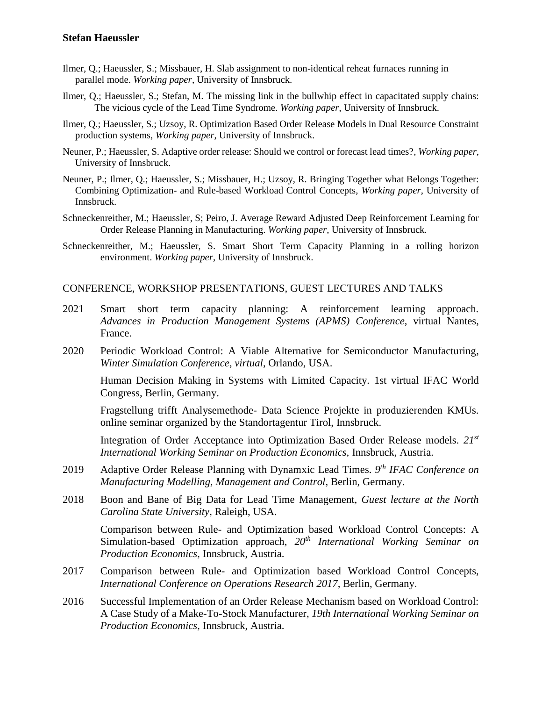- Ilmer, Q.; Haeussler, S.; Missbauer, H. Slab assignment to non-identical reheat furnaces running in parallel mode. *Working paper*, University of Innsbruck.
- Ilmer, Q.; Haeussler, S.; Stefan, M. The missing link in the bullwhip effect in capacitated supply chains: The vicious cycle of the Lead Time Syndrome. *Working paper*, University of Innsbruck.
- Ilmer, Q.; Haeussler, S.; Uzsoy, R. Optimization Based Order Release Models in Dual Resource Constraint production systems, *Working paper*, University of Innsbruck.
- Neuner, P.; Haeussler, S. Adaptive order release: Should we control or forecast lead times?, *Working paper*, University of Innsbruck.
- Neuner, P.; Ilmer, Q.; Haeussler, S.; Missbauer, H.; Uzsoy, R. Bringing Together what Belongs Together: Combining Optimization- and Rule-based Workload Control Concepts, *Working paper*, University of Innsbruck.
- Schneckenreither, M.; Haeussler, S; Peiro, J. Average Reward Adjusted Deep Reinforcement Learning for Order Release Planning in Manufacturing. *Working paper*, University of Innsbruck.
- Schneckenreither, M.; Haeussler, S. Smart Short Term Capacity Planning in a rolling horizon environment. *Working paper*, University of Innsbruck.

#### CONFERENCE, WORKSHOP PRESENTATIONS, GUEST LECTURES AND TALKS

- 2021 Smart short term capacity planning: A reinforcement learning approach. *Advances in Production Management Systems (APMS) Conference*, virtual Nantes, France.
- 2020 Periodic Workload Control: A Viable Alternative for Semiconductor Manufacturing, *Winter Simulation Conference, virtual*, Orlando, USA.

Human Decision Making in Systems with Limited Capacity. 1st virtual IFAC World Congress, Berlin, Germany.

Fragstellung trifft Analysemethode- Data Science Projekte in produzierenden KMUs. online seminar organized by the Standortagentur Tirol, Innsbruck.

Integration of Order Acceptance into Optimization Based Order Release models. *21 st International Working Seminar on Production Economics,* Innsbruck, Austria.

- 2019 Adaptive Order Release Planning with Dynamxic Lead Times. *9 th IFAC Conference on Manufacturing Modelling, Management and Control*, Berlin, Germany.
- 2018 Boon and Bane of Big Data for Lead Time Management, *Guest lecture at the North Carolina State University*, Raleigh, USA.

Comparison between Rule- and Optimization based Workload Control Concepts: A Simulation-based Optimization approach, *20th International Working Seminar on Production Economics,* Innsbruck, Austria.

- 2017 Comparison between Rule- and Optimization based Workload Control Concepts, *International Conference on Operations Research 2017,* Berlin, Germany.
- 2016 Successful Implementation of an Order Release Mechanism based on Workload Control: A Case Study of a Make-To-Stock Manufacturer, *19th International Working Seminar on Production Economics,* Innsbruck, Austria.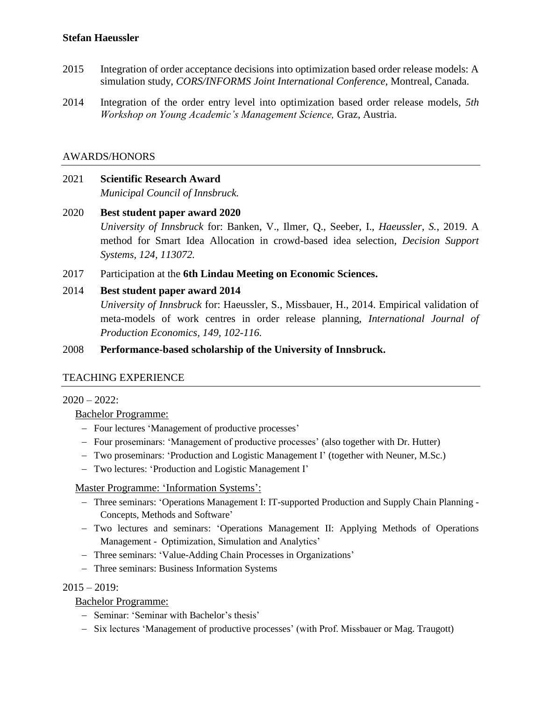- 2015 Integration of order acceptance decisions into optimization based order release models: A simulation study, *CORS/INFORMS Joint International Conference,* Montreal, Canada.
- 2014 Integration of the order entry level into optimization based order release models, *5th Workshop on Young Academic's Management Science,* Graz, Austria.

### AWARDS/HONORS

- 2021 **Scientific Research Award** *Municipal Council of Innsbruck.*
- 2020 **Best student paper award 2020** *University of Innsbruck* for: Banken, V., Ilmer, Q., Seeber, I., *Haeussler, S.*, 2019. A method for Smart Idea Allocation in crowd-based idea selection, *Decision Support Systems, 124, 113072.*
- 2017 Participation at the **6th Lindau Meeting on Economic Sciences.**

### 2014 **Best student paper award 2014**

*University of Innsbruck* for: Haeussler, S., Missbauer, H., 2014. Empirical validation of meta-models of work centres in order release planning, *International Journal of Production Economics, 149, 102-116.*

#### 2008 **Performance-based scholarship of the University of Innsbruck.**

### TEACHING EXPERIENCE

#### $2020 - 2022$ :

#### Bachelor Programme:

- − Four lectures 'Management of productive processes'
- − Four proseminars: 'Management of productive processes' (also together with Dr. Hutter)
- − Two proseminars: 'Production and Logistic Management I' (together with Neuner, M.Sc.)
- − Two lectures: 'Production and Logistic Management I'

#### Master Programme: 'Information Systems':

- − Three seminars: 'Operations Management I: IT-supported Production and Supply Chain Planning Concepts, Methods and Software'
- − Two lectures and seminars: 'Operations Management II: Applying Methods of Operations Management - Optimization, Simulation and Analytics'
- − Three seminars: 'Value-Adding Chain Processes in Organizations'
- − Three seminars: Business Information Systems

#### $2015 - 2019$ :

### Bachelor Programme:

- − Seminar: 'Seminar with Bachelor's thesis'
- − Six lectures 'Management of productive processes' (with Prof. Missbauer or Mag. Traugott)